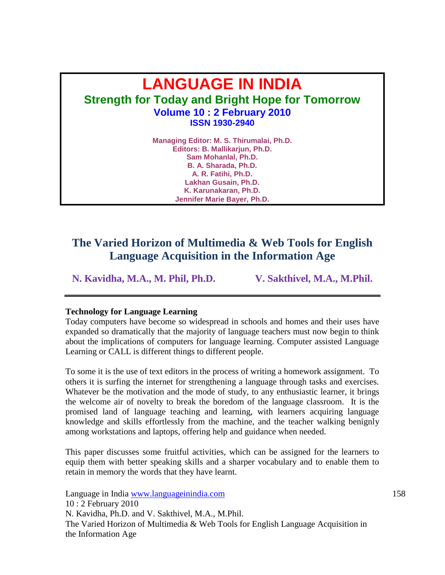# **LANGUAGE IN INDIA Strength for Today and Bright Hope for Tomorrow Volume 10 : 2 February 2010 ISSN 1930-2940**

**Managing Editor: M. S. Thirumalai, Ph.D. Editors: B. Mallikarjun, Ph.D. Sam Mohanlal, Ph.D. B. A. Sharada, Ph.D. A. R. Fatihi, Ph.D. Lakhan Gusain, Ph.D. K. Karunakaran, Ph.D. Jennifer Marie Bayer, Ph.D.**

# **The Varied Horizon of Multimedia & Web Tools for English Language Acquisition in the Information Age**

**N. Kavidha, M.A., M. Phil, Ph.D. V. Sakthivel, M.A., M.Phil.**

#### **Technology for Language Learning**

Today computers have become so widespread in schools and homes and their uses have expanded so dramatically that the majority of language teachers must now begin to think about the implications of computers for language learning. Computer assisted Language Learning or CALL is different things to different people.

To some it is the use of text editors in the process of writing a homework assignment. To others it is surfing the internet for strengthening a language through tasks and exercises. Whatever be the motivation and the mode of study, to any enthusiastic learner, it brings the welcome air of novelty to break the boredom of the language classroom. It is the promised land of language teaching and learning, with learners acquiring language knowledge and skills effortlessly from the machine, and the teacher walking benignly among workstations and laptops, offering help and guidance when needed.

This paper discusses some fruitful activities, which can be assigned for the learners to equip them with better speaking skills and a sharper vocabulary and to enable them to retain in memory the words that they have learnt.

Language in India www.languageinindia.com 158 10 : 2 February 2010 N. Kavidha, Ph.D. and V. Sakthivel, M.A., M.Phil. The Varied Horizon of Multimedia & Web Tools for English Language Acquisition in the Information Age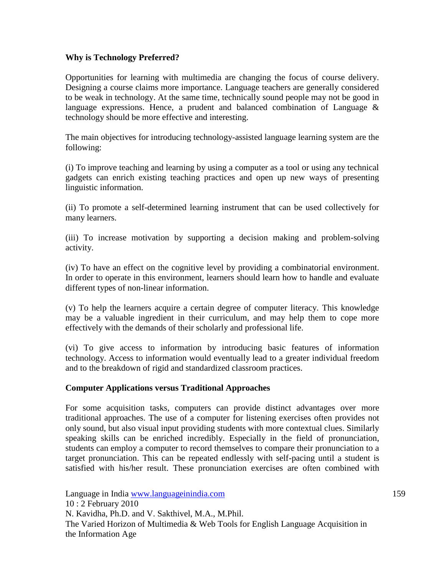# **Why is Technology Preferred?**

Opportunities for learning with multimedia are changing the focus of course delivery. Designing a course claims more importance. Language teachers are generally considered to be weak in technology. At the same time, technically sound people may not be good in language expressions. Hence, a prudent and balanced combination of Language  $\&$ technology should be more effective and interesting.

The main objectives for introducing technology-assisted language learning system are the following:

(i) To improve teaching and learning by using a computer as a tool or using any technical gadgets can enrich existing teaching practices and open up new ways of presenting linguistic information.

(ii) To promote a self-determined learning instrument that can be used collectively for many learners.

(iii) To increase motivation by supporting a decision making and problem-solving activity.

(iv) To have an effect on the cognitive level by providing a combinatorial environment. In order to operate in this environment, learners should learn how to handle and evaluate different types of non-linear information.

(v) To help the learners acquire a certain degree of computer literacy. This knowledge may be a valuable ingredient in their curriculum, and may help them to cope more effectively with the demands of their scholarly and professional life.

(vi) To give access to information by introducing basic features of information technology. Access to information would eventually lead to a greater individual freedom and to the breakdown of rigid and standardized classroom practices.

#### **Computer Applications versus Traditional Approaches**

For some acquisition tasks, computers can provide distinct advantages over more traditional approaches. The use of a computer for listening exercises often provides not only sound, but also visual input providing students with more contextual clues. Similarly speaking skills can be enriched incredibly. Especially in the field of pronunciation, students can employ a computer to record themselves to compare their pronunciation to a target pronunciation. This can be repeated endlessly with self-pacing until a student is satisfied with his/her result. These pronunciation exercises are often combined with

Language in India www.languageinindia.com 159 10 : 2 February 2010 N. Kavidha, Ph.D. and V. Sakthivel, M.A., M.Phil. The Varied Horizon of Multimedia & Web Tools for English Language Acquisition in the Information Age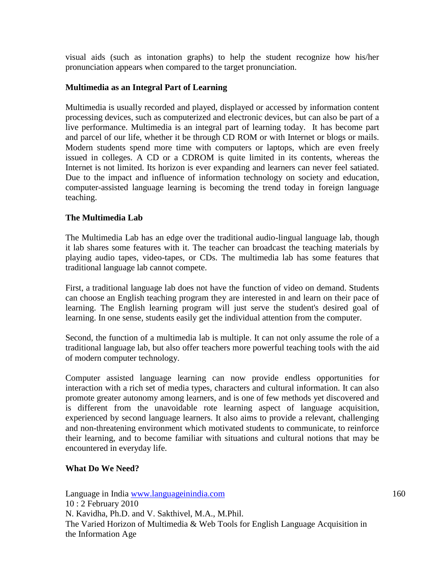visual aids (such as intonation graphs) to help the student recognize how his/her pronunciation appears when compared to the target pronunciation.

# **Multimedia as an Integral Part of Learning**

Multimedia is usually recorded and played, displayed or accessed by [information content](http://en.wikipedia.org/wiki/Information) processing devices, such as computerized and electronic devices, but can also be part of a live performance. Multimedia is an integral part of learning today. It has become part and parcel of our life, whether it be through CD ROM or with Internet or blogs or mails. Modern students spend more time with computers or laptops, which are even freely issued in colleges. A CD or a CDROM is quite limited in its contents, whereas the Internet is not limited. Its horizon is ever expanding and learners can never feel satiated. Due to the impact and influence of information technology on society and education, computer-assisted language learning is becoming the trend today in foreign language teaching.

# **The Multimedia Lab**

The Multimedia Lab has an edge over the traditional audio-lingual language lab, though it lab shares some features with it. The teacher can broadcast the teaching materials by playing audio tapes, video-tapes, or CDs. The multimedia lab has some features that traditional language lab cannot compete.

First, a traditional language lab does not have the function of video on demand. Students can choose an English teaching program they are interested in and learn on their pace of learning. The English learning program will just serve the student's desired goal of learning. In one sense, students easily get the individual attention from the computer.

Second, the function of a multimedia lab is multiple. It can not only assume the role of a traditional language lab, but also offer teachers more powerful teaching tools with the aid of modern computer technology.

Computer assisted language learning can now provide endless opportunities for interaction with a rich set of media types, characters and cultural information. It can also promote greater autonomy among learners, and is one of few methods yet discovered and is different from the unavoidable rote learning aspect of language acquisition, experienced by second language learners. It also aims to provide a relevant, challenging and non-threatening environment which motivated students to communicate, to reinforce their learning, and to become familiar with situations and cultural notions that may be encountered in everyday life.

#### **What Do We Need?**

Language in India www.languageinindia.com 160 10 : 2 February 2010 N. Kavidha, Ph.D. and V. Sakthivel, M.A., M.Phil. The Varied Horizon of Multimedia & Web Tools for English Language Acquisition in the Information Age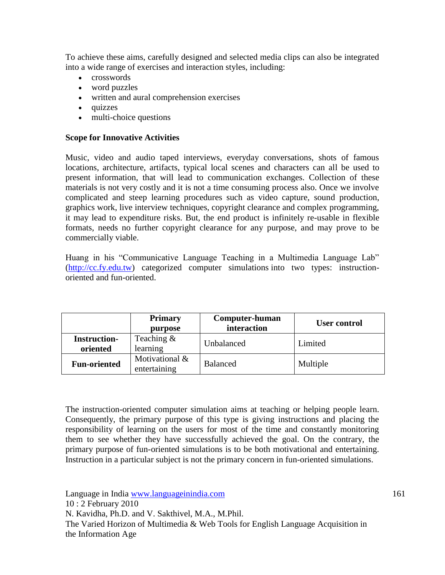To achieve these aims, carefully designed and selected media clips can also be integrated into a wide range of exercises and interaction styles, including:

- crosswords
- word puzzles
- written and aural comprehension exercises
- quizzes
- multi-choice questions

### **Scope for Innovative Activities**

Music, video and audio taped interviews, everyday conversations, shots of famous locations, architecture, artifacts, typical local scenes and characters can all be used to present information, that will lead to communication exchanges. Collection of these materials is not very costly and it is not a time consuming process also. Once we involve complicated and steep learning procedures such as video capture, sound production, graphics work, live interview techniques, copyright clearance and complex programming, it may lead to expenditure risks. But, the end product is infinitely re-usable in flexible formats, needs no further copyright clearance for any purpose, and may prove to be commercially viable.

Huang in his "Communicative Language Teaching in a Multimedia Language Lab" [\(http://cc.fy.edu.tw\)](http://cc.fy.edu.tw/) categorized computer simulations into two types: instructionoriented and fun-oriented.

|                                 | <b>Primary</b><br>purpose      | Computer-human<br>interaction | User control |
|---------------------------------|--------------------------------|-------------------------------|--------------|
| <b>Instruction-</b><br>oriented | Teaching $&$<br>learning       | Unbalanced                    | Limited      |
| <b>Fun-oriented</b>             | Motivational &<br>entertaining | <b>Balanced</b>               | Multiple     |

The instruction-oriented computer simulation aims at teaching or helping people learn. Consequently, the primary purpose of this type is giving instructions and placing the responsibility of learning on the users for most of the time and constantly monitoring them to see whether they have successfully achieved the goal. On the contrary, the primary purpose of fun-oriented simulations is to be both motivational and entertaining. Instruction in a particular subject is not the primary concern in fun-oriented simulations.

Language in India www.languageinindia.com 161 10 : 2 February 2010 N. Kavidha, Ph.D. and V. Sakthivel, M.A., M.Phil. The Varied Horizon of Multimedia & Web Tools for English Language Acquisition in the Information Age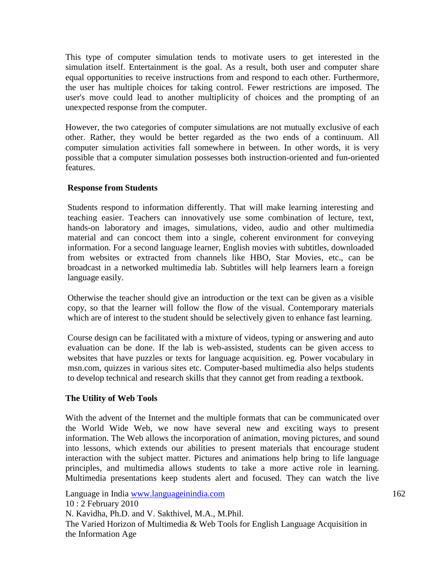This type of computer simulation tends to motivate users to get interested in the simulation itself. Entertainment is the goal. As a result, both user and computer share equal opportunities to receive instructions from and respond to each other. Furthermore, the user has multiple choices for taking control. Fewer restrictions are imposed. The user's move could lead to another multiplicity of choices and the prompting of an unexpected response from the computer.

However, the two categories of computer simulations are not mutually exclusive of each other. Rather, they would be better regarded as the two ends of a continuum. All computer simulation activities fall somewhere in between. In other words, it is very possible that a computer simulation possesses both instruction-oriented and fun-oriented features.

# **Response from Students**

Students respond to information differently. That will make learning interesting and teaching easier. Teachers can innovatively use some combination of lecture, text, hands-on laboratory and images, simulations, video, audio and other multimedia material and can concoct them into a single, coherent environment for conveying information. For a second language learner, English movies with subtitles, downloaded from websites or extracted from channels like HBO, Star Movies, etc., can be broadcast in a networked multimedia lab. Subtitles will help learners learn a foreign language easily.

Otherwise the teacher should give an introduction or the text can be given as a visible copy, so that the learner will follow the flow of the visual. Contemporary materials which are of interest to the student should be selectively given to enhance fast learning.

Course design can be facilitated with a mixture of videos, typing or answering and auto evaluation can be done. If the lab is web-assisted, students can be given access to websites that have puzzles or texts for language acquisition. eg. Power vocabulary in msn.com, quizzes in various sites etc. Computer-based multimedia also helps students to develop technical and research skills that they cannot get from reading a textbook.

#### **The Utility of Web Tools**

With the advent of the Internet and the multiple formats that can be communicated over the World Wide Web, we now have several new and exciting ways to present information. The Web allows the incorporation of animation, moving pictures, and sound into lessons, which extends our abilities to present materials that encourage student interaction with the subject matter. Pictures and animations help bring to life language principles, and multimedia allows students to take a more active role in learning. Multimedia presentations keep students alert and focused. They can watch the live

Language in India www.languageinindia.com 162 10 : 2 February 2010 N. Kavidha, Ph.D. and V. Sakthivel, M.A., M.Phil. The Varied Horizon of Multimedia & Web Tools for English Language Acquisition in the Information Age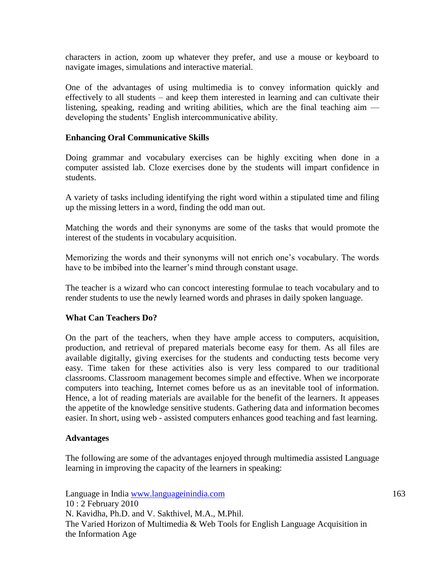characters in action, zoom up whatever they prefer, and use a mouse or keyboard to navigate images, simulations and interactive material.

One of the advantages of using multimedia is to convey information quickly and effectively to all students – and keep them interested in learning and can cultivate their listening, speaking, reading and writing abilities, which are the final teaching aim developing the students' English intercommunicative ability.

### **Enhancing Oral Communicative Skills**

Doing grammar and vocabulary exercises can be highly exciting when done in a computer assisted lab. Cloze exercises done by the students will impart confidence in students.

A variety of tasks including identifying the right word within a stipulated time and filing up the missing letters in a word, finding the odd man out.

Matching the words and their synonyms are some of the tasks that would promote the interest of the students in vocabulary acquisition.

Memorizing the words and their synonyms will not enrich one's vocabulary. The words have to be imbibed into the learner's mind through constant usage.

The teacher is a wizard who can concoct interesting formulae to teach vocabulary and to render students to use the newly learned words and phrases in daily spoken language.

#### **What Can Teachers Do?**

On the part of the teachers, when they have ample access to computers, acquisition, production, and retrieval of prepared materials become easy for them. As all files are available digitally, giving exercises for the students and conducting tests become very easy. Time taken for these activities also is very less compared to our traditional classrooms. Classroom management becomes simple and effective. When we incorporate computers into teaching, Internet comes before us as an inevitable tool of information. Hence, a lot of reading materials are available for the benefit of the learners. It appeases the appetite of the knowledge sensitive students. Gathering data and information becomes easier. In short, using web - assisted computers enhances good teaching and fast learning.

#### **Advantages**

The following are some of the advantages enjoyed through multimedia assisted Language learning in improving the capacity of the learners in speaking:

Language in India www.languageinindia.com 163 10 : 2 February 2010 N. Kavidha, Ph.D. and V. Sakthivel, M.A., M.Phil. The Varied Horizon of Multimedia & Web Tools for English Language Acquisition in the Information Age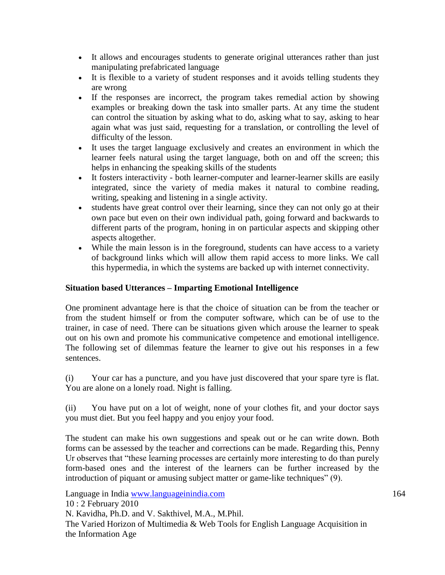- It allows and encourages students to generate original utterances rather than just manipulating prefabricated language
- It is flexible to a variety of student responses and it avoids telling students they are wrong
- If the responses are incorrect, the program takes remedial action by showing examples or breaking down the task into smaller parts. At any time the student can control the situation by asking what to do, asking what to say, asking to hear again what was just said, requesting for a translation, or controlling the level of difficulty of the lesson.
- It uses the target language exclusively and creates an environment in which the learner feels natural using the target language, both on and off the screen; this helps in enhancing the speaking skills of the students
- It fosters interactivity both learner-computer and learner-learner skills are easily integrated, since the variety of media makes it natural to combine reading, writing, speaking and listening in a single activity.
- students have great control over their learning, since they can not only go at their own pace but even on their own individual path, going forward and backwards to different parts of the program, honing in on particular aspects and skipping other aspects altogether.
- While the main lesson is in the foreground, students can have access to a variety of background links which will allow them rapid access to more links. We call this hypermedia, in which the systems are backed up with internet connectivity.

# **Situation based Utterances – Imparting Emotional Intelligence**

One prominent advantage here is that the choice of situation can be from the teacher or from the student himself or from the computer software, which can be of use to the trainer, in case of need. There can be situations given which arouse the learner to speak out on his own and promote his communicative competence and emotional intelligence. The following set of dilemmas feature the learner to give out his responses in a few sentences.

(i) Your car has a puncture, and you have just discovered that your spare tyre is flat. You are alone on a lonely road. Night is falling.

(ii) You have put on a lot of weight, none of your clothes fit, and your doctor says you must diet. But you feel happy and you enjoy your food.

The student can make his own suggestions and speak out or he can write down. Both forms can be assessed by the teacher and corrections can be made. Regarding this, Penny Ur observes that "these learning processes are certainly more interesting to do than purely form-based ones and the interest of the learners can be further increased by the introduction of piquant or amusing subject matter or game-like techniques" (9).

Language in India www.languageinindia.com 164 10 : 2 February 2010 N. Kavidha, Ph.D. and V. Sakthivel, M.A., M.Phil. The Varied Horizon of Multimedia & Web Tools for English Language Acquisition in the Information Age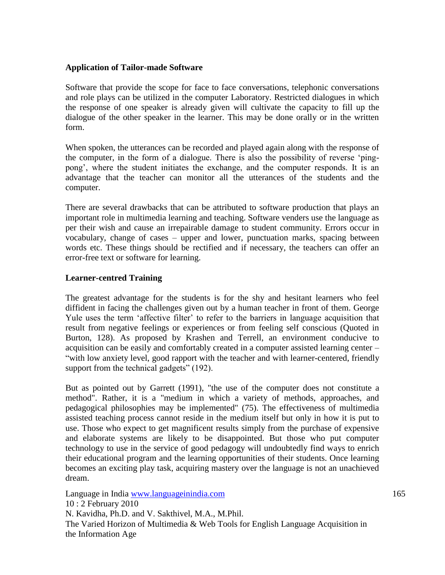# **Application of Tailor-made Software**

Software that provide the scope for face to face conversations, telephonic conversations and role plays can be utilized in the computer Laboratory. Restricted dialogues in which the response of one speaker is already given will cultivate the capacity to fill up the dialogue of the other speaker in the learner. This may be done orally or in the written form.

When spoken, the utterances can be recorded and played again along with the response of the computer, in the form of a dialogue. There is also the possibility of reverse 'pingpong', where the student initiates the exchange, and the computer responds. It is an advantage that the teacher can monitor all the utterances of the students and the computer.

There are several drawbacks that can be attributed to software production that plays an important role in multimedia learning and teaching. Software venders use the language as per their wish and cause an irrepairable damage to student community. Errors occur in vocabulary, change of cases – upper and lower, punctuation marks, spacing between words etc. These things should be rectified and if necessary, the teachers can offer an error-free text or software for learning.

# **Learner-centred Training**

The greatest advantage for the students is for the shy and hesitant learners who feel diffident in facing the challenges given out by a human teacher in front of them. George Yule uses the term 'affective filter' to refer to the barriers in language acquisition that result from negative feelings or experiences or from feeling self conscious (Quoted in Burton, 128). As proposed by Krashen and Terrell, an environment conducive to acquisition can be easily and comfortably created in a computer assisted learning center – "with low anxiety level, good rapport with the teacher and with learner-centered, friendly support from the technical gadgets" (192).

But as pointed out by [Garrett \(1991\),](http://www.ict4lt.org/en/#garrett) "the use of the computer does not constitute a method". Rather, it is a "medium in which a variety of methods, approaches, and pedagogical philosophies may be implemented" (75). The effectiveness of multimedia assisted teaching process cannot reside in the medium itself but only in how it is put to use. Those who expect to get magnificent results simply from the purchase of expensive and elaborate systems are likely to be disappointed. But those who put computer technology to use in the service of good pedagogy will undoubtedly find ways to enrich their educational program and the learning opportunities of their students. Once learning becomes an exciting play task, acquiring mastery over the language is not an unachieved dream.

Language in India www.languageinindia.com 165 10 : 2 February 2010 N. Kavidha, Ph.D. and V. Sakthivel, M.A., M.Phil. The Varied Horizon of Multimedia & Web Tools for English Language Acquisition in the Information Age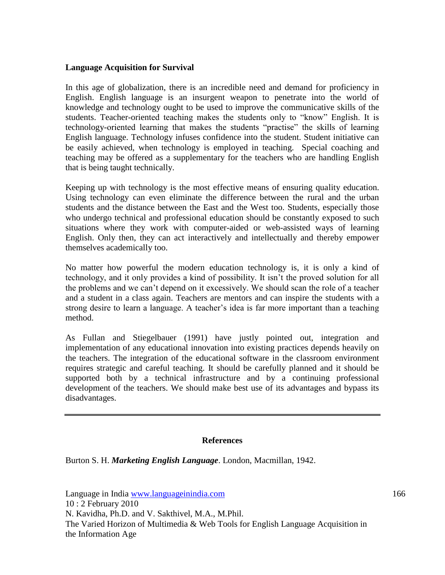#### **Language Acquisition for Survival**

In this age of globalization, there is an incredible need and demand for proficiency in English. English language is an insurgent weapon to penetrate into the world of knowledge and technology ought to be used to improve the communicative skills of the students. Teacher-oriented teaching makes the students only to "know" English. It is technology-oriented learning that makes the students "practise" the skills of learning English language. Technology infuses confidence into the student. Student initiative can be easily achieved, when technology is employed in teaching. Special coaching and teaching may be offered as a supplementary for the teachers who are handling English that is being taught technically.

Keeping up with technology is the most effective means of ensuring quality education. Using technology can even eliminate the difference between the rural and the urban students and the distance between the East and the West too. Students, especially those who undergo technical and professional education should be constantly exposed to such situations where they work with computer-aided or web-assisted ways of learning English. Only then, they can act interactively and intellectually and thereby empower themselves academically too.

No matter how powerful the modern education technology is, it is only a kind of technology, and it only provides a kind of possibility. It isn't the proved solution for all the problems and we can't depend on it excessively. We should scan the role of a teacher and a student in a class again. Teachers are mentors and can inspire the students with a strong desire to learn a language. A teacher's idea is far more important than a teaching method.

As Fullan and Stiegelbauer (1991) have justly pointed out, integration and implementation of any educational innovation into existing practices depends heavily on the teachers. The integration of the educational software in the classroom environment requires strategic and careful teaching. It should be carefully planned and it should be supported both by a technical infrastructure and by a continuing professional development of the teachers. We should make best use of its advantages and bypass its disadvantages.

#### **References**

Burton S. H. *Marketing English Language*. London, Macmillan, 1942.

Language in India www.languageinindia.com 166 10 : 2 February 2010 N. Kavidha, Ph.D. and V. Sakthivel, M.A., M.Phil. The Varied Horizon of Multimedia & Web Tools for English Language Acquisition in the Information Age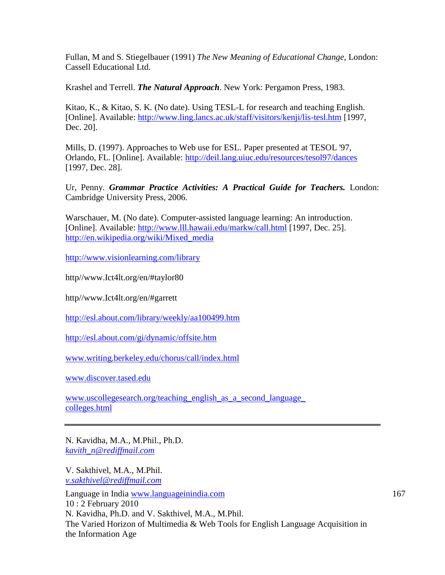Fullan, M and S. Stiegelbauer (1991) *The New Meaning of Educational Change*, London: Cassell Educational Ltd.

Krashel and Terrell. *The Natural Approach*. New York: Pergamon Press, 1983.

Kitao, K., & Kitao, S. K. (No date). Using TESL-L for research and teaching English. [Online]. Available:<http://www.ling.lancs.ac.uk/staff/visitors/kenji/lis-tesl.htm> [1997, Dec. 20].

Mills, D. (1997). Approaches to Web use for ESL. Paper presented at TESOL '97, Orlando, FL. [Online]. Available: [http://deil.lang.uiuc.edu/resources/tesol97/dances](http://deil.lang.uiuc.edu/resources/tesol97/dances/) [1997, Dec. 28].

Ur, Penny. *Grammar Practice Activities: A Practical Guide for Teachers.* London: Cambridge University Press, 2006.

Warschauer, M. (No date). Computer-assisted language learning: An introduction. [Online]. Available:<http://www.lll.hawaii.edu/markw/call.html> [1997, Dec. 25]. [http://en.wikipedia.org/wiki/Mixed\\_media](http://en.wikipedia.org/wiki/Mixed_media)

<http://www.visionlearning.com/library>

http//www.Ict4lt.org/en/#taylor80

http//www.Ict4lt.org/en/#garrett

<http://esl.about.com/library/weekly/aa100499.htm>

<http://esl.about.com/gi/dynamic/offsite.htm>

[www.writing.berkeley.edu/chorus/call/index.html](http://www.writing.berkeley.edu/chorus/call/index.html)

[www.discover.tased.edu](http://www.discover.tased.edu/)

[www.uscollegesearch.org/teaching\\_english\\_as\\_a\\_second\\_language\\_](http://www.uscollegesearch.org/teaching_english_as_a_second_language_colleges.html) colleges.html

N. Kavidha, M.A., M.Phil., Ph.D. *[kavith\\_n@rediffmail.com](mailto:kavith_n@rediffmail.com)*

V. Sakthivel, M.A., M.Phil. *[v.sakthivel@rediffmail.com](mailto:v.sakthivel@rediffmail.com)*

Language in India www.languageinindia.com 167 10 : 2 February 2010 N. Kavidha, Ph.D. and V. Sakthivel, M.A., M.Phil. The Varied Horizon of Multimedia & Web Tools for English Language Acquisition in the Information Age